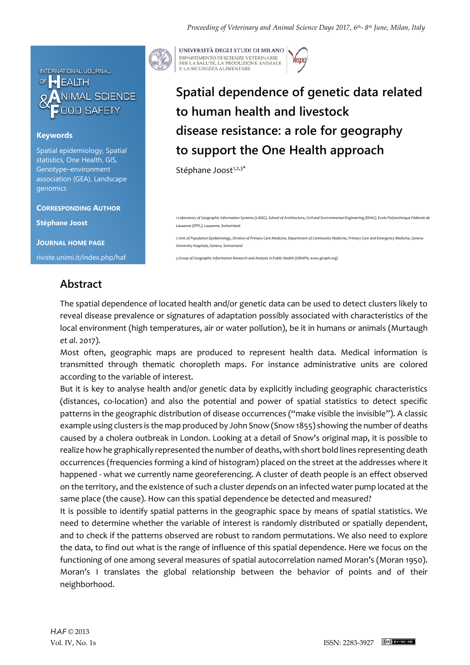

## **Keywords**

Spatial epidemiology, Spatial statistics, One Health, GIS, Genotype–environment association (GEA), Landscape genomics

**CORRESPONDING AUTHOR**

**Stéphane Joost**

**JOURNAL HOME PAGE** riviste.unimi.it/index.php/haf



UNIVERSITÀ DEGLI STUDI DI MILANO DIPARTIMENTO DI SCIENZE VETERINARIE PER LA SALUTE, LA PRODUZIONE ANIMALE<br>E LA SICUREZZA ALIMENTARE

## **Spatial dependence of genetic data related to human health and livestock disease resistance: a role for geography to support the One Health approach**

Stéphane Joost<sup>1,2,3\*</sup>

*1 Laboratory of Geographic Information Systems (LASIG), School of Architecture, Civil and Environmental Engineering (ENAC), Ecole Polytechnique Fédérale de Lausanne (EPFL), Lausanne, Switzerland*

*2 Unit of Population Epidemiology, Division of Primary Care Medicine, Department of Community Medicine, Primary Care and Emergency Medicine, Geneva University Hospitals, Geneva, Switzerland*

*3 Group of Geographic Information Research and Analysis in Public Health (GIRAPH; www.giraph.org)*

## **Abstract**

local environment (high temperatures, air or water pollution), be it in humans or animals (Murtaugh<br>. The spatial dependence of located health and/or genetic data can be used to detect clusters likely to reveal disease prevalence or signatures of adaptation possibly associated with characteristics of the *et al*. 2017).

Most often, geographic maps are produced to represent health data. Medical information is transmitted through thematic choropleth maps. For instance administrative units are colored according to the variable of interest.

But it is key to analyse health and/or genetic data by explicitly including geographic characteristics (distances, co-location) and also the potential and power of spatial statistics to detect specific patterns in the geographic distribution of disease occurrences ("make visible the invisible"). A classic example using clusters is the map produced by John Snow (Snow 1855) showing the number of deaths caused by a cholera outbreak in London. Looking at a detail of Snow's original map, it is possible to realize how he graphically represented the number of deaths, with short bold lines representing death occurrences (frequencies forming a kind of histogram) placed on the street at the addresses where it happened - what we currently name georeferencing. A cluster of death people is an effect observed on the territory, and the existence of such a cluster *depends* on an infected water pump located at the same place (the cause). How can this spatial dependence be detected and measured?

It is possible to identify spatial patterns in the geographic space by means of spatial statistics. We need to determine whether the variable of interest is randomly distributed or spatially dependent, and to check if the patterns observed are robust to random permutations. We also need to explore the data, to find out what is the range of influence of this spatial dependence. Here we focus on the functioning of one among several measures of spatial autocorrelation named Moran's (Moran 1950). Moran's I translates the global relationship between the behavior of points and of their neighborhood.